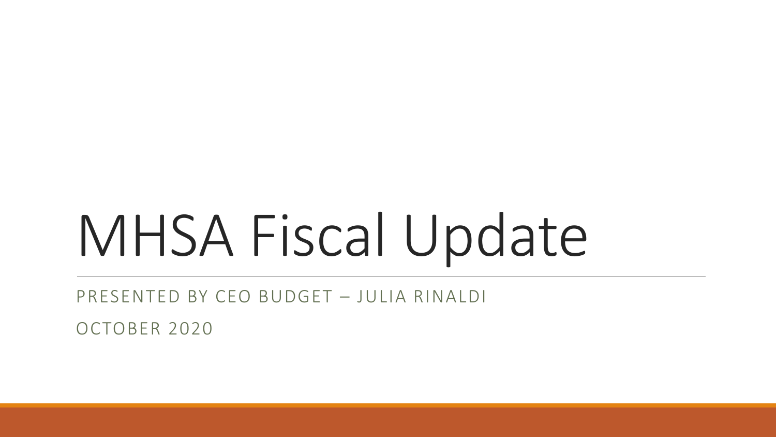# MHSA Fiscal Update

PRESENTED BY CEO BUDGET – JULIA RINALDI

OCTOBER 2020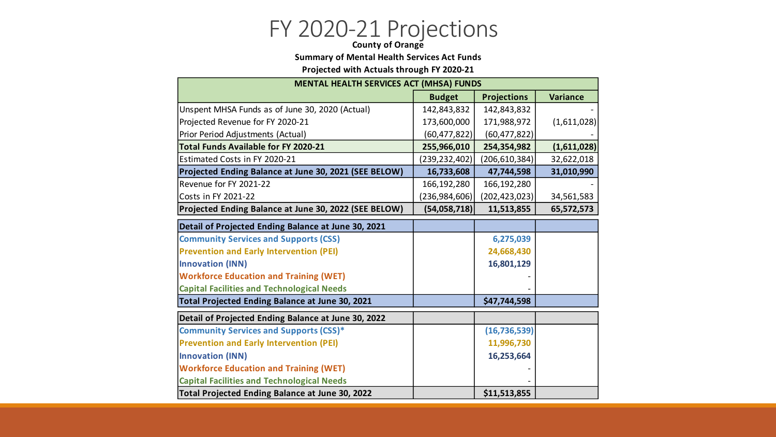## FY 2020-21 Projections **County of Orange**

#### **Summary of Mental Health Services Act Funds**

**Projected with Actuals through FY 2020-21**

| <b>MENTAL HEALTH SERVICES ACT (MHSA) FUNDS</b>        |                |                    |                 |  |  |  |  |  |  |  |
|-------------------------------------------------------|----------------|--------------------|-----------------|--|--|--|--|--|--|--|
|                                                       | <b>Budget</b>  | <b>Projections</b> | <b>Variance</b> |  |  |  |  |  |  |  |
| Unspent MHSA Funds as of June 30, 2020 (Actual)       | 142,843,832    | 142,843,832        |                 |  |  |  |  |  |  |  |
| Projected Revenue for FY 2020-21                      | 173,600,000    | 171,988,972        | (1,611,028)     |  |  |  |  |  |  |  |
| Prior Period Adjustments (Actual)                     | (60, 477, 822) | (60, 477, 822)     |                 |  |  |  |  |  |  |  |
| <b>Total Funds Available for FY 2020-21</b>           | 255,966,010    | 254,354,982        | (1,611,028)     |  |  |  |  |  |  |  |
| Estimated Costs in FY 2020-21                         | (239,232,402)  | (206, 610, 384)    | 32,622,018      |  |  |  |  |  |  |  |
| Projected Ending Balance at June 30, 2021 (SEE BELOW) | 16,733,608     | 47,744,598         | 31,010,990      |  |  |  |  |  |  |  |
| Revenue for FY 2021-22                                | 166,192,280    | 166,192,280        |                 |  |  |  |  |  |  |  |
| Costs in FY 2021-22                                   | (236,984,606)  | (202, 423, 023)    | 34,561,583      |  |  |  |  |  |  |  |
| Projected Ending Balance at June 30, 2022 (SEE BELOW) | (54,058,718)   | 11,513,855         | 65,572,573      |  |  |  |  |  |  |  |
| Detail of Projected Ending Balance at June 30, 2021   |                |                    |                 |  |  |  |  |  |  |  |
| <b>Community Services and Supports (CSS)</b>          |                | 6,275,039          |                 |  |  |  |  |  |  |  |
| <b>Prevention and Early Intervention (PEI)</b>        |                | 24,668,430         |                 |  |  |  |  |  |  |  |
| <b>Innovation (INN)</b>                               |                | 16,801,129         |                 |  |  |  |  |  |  |  |
| <b>Workforce Education and Training (WET)</b>         |                |                    |                 |  |  |  |  |  |  |  |
| <b>Capital Facilities and Technological Needs</b>     |                |                    |                 |  |  |  |  |  |  |  |
| Total Projected Ending Balance at June 30, 2021       |                | \$47,744,598       |                 |  |  |  |  |  |  |  |
| Detail of Projected Ending Balance at June 30, 2022   |                |                    |                 |  |  |  |  |  |  |  |
| <b>Community Services and Supports (CSS)*</b>         |                | (16, 736, 539)     |                 |  |  |  |  |  |  |  |
| <b>Prevention and Early Intervention (PEI)</b>        |                | 11,996,730         |                 |  |  |  |  |  |  |  |
| <b>Innovation (INN)</b>                               |                | 16,253,664         |                 |  |  |  |  |  |  |  |
| <b>Workforce Education and Training (WET)</b>         |                |                    |                 |  |  |  |  |  |  |  |
| <b>Capital Facilities and Technological Needs</b>     |                |                    |                 |  |  |  |  |  |  |  |
| Total Projected Ending Balance at June 30, 2022       |                | \$11,513,855       |                 |  |  |  |  |  |  |  |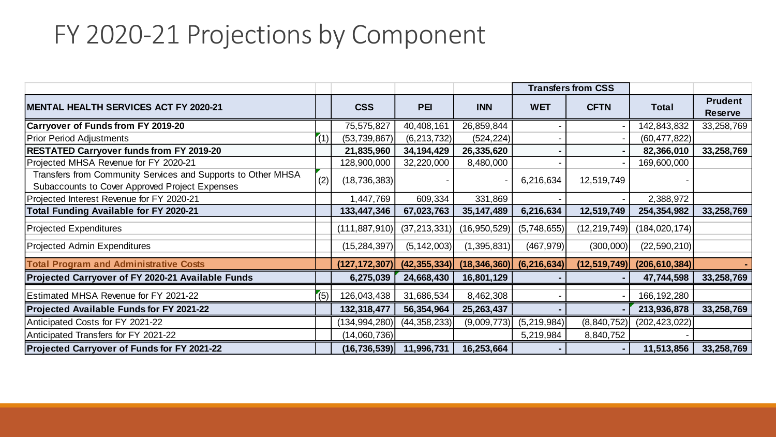### FY 2020-21 Projections by Component

|                                                                                                                |     |                 |                |                              | <b>Transfers from CSS</b> |                |                 |                                  |
|----------------------------------------------------------------------------------------------------------------|-----|-----------------|----------------|------------------------------|---------------------------|----------------|-----------------|----------------------------------|
| MENTAL HEALTH SERVICES ACT FY 2020-21                                                                          |     | <b>CSS</b>      | <b>PEI</b>     | <b>INN</b>                   | <b>WET</b>                | <b>CFTN</b>    | <b>Total</b>    | <b>Prudent</b><br><b>Reserve</b> |
| <b>Carryover of Funds from FY 2019-20</b>                                                                      |     | 75,575,827      | 40,408,161     | 26,859,844                   |                           |                | 142,843,832     | 33,258,769                       |
| <b>Prior Period Adjustments</b>                                                                                | (1) | (53, 739, 867)  | (6, 213, 732)  | (524, 224)                   |                           |                | (60, 477, 822)  |                                  |
| <b>RESTATED Carryover funds from FY 2019-20</b>                                                                |     | 21,835,960      | 34, 194, 429   | 26,335,620                   |                           |                | 82,366,010      | 33,258,769                       |
| Projected MHSA Revenue for FY 2020-21                                                                          |     | 128,900,000     | 32,220,000     | 8,480,000                    |                           |                | 169,600,000     |                                  |
| Transfers from Community Services and Supports to Other MHSA<br>Subaccounts to Cover Approved Project Expenses | (2) | (18, 736, 383)  |                |                              | 6,216,634                 | 12,519,749     |                 |                                  |
| Projected Interest Revenue for FY 2020-21                                                                      |     | 1,447,769       | 609,334        | 331,869                      |                           |                | 2,388,972       |                                  |
| <b>Total Funding Available for FY 2020-21</b>                                                                  |     | 133,447,346     | 67,023,763     | 35, 147, 489                 | 6,216,634                 | 12,519,749     | 254,354,982     | 33,258,769                       |
| Projected Expenditures                                                                                         |     | (111, 887, 910) | (37, 213, 331) | (16, 950, 529)               | (5,748,655)               | (12, 219, 749) | (184, 020, 174) |                                  |
| Projected Admin Expenditures                                                                                   |     | (15, 284, 397)  | (5, 142, 003)  | (1, 395, 831)                | (467, 979)                | (300,000)      | (22, 590, 210)  |                                  |
| <b>Total Program and Administrative Costs</b>                                                                  |     | (127, 172, 307) | (42, 355, 334) | $(18,346,360)$ $(6,216,634)$ |                           | (12, 519, 749) | (206, 610, 384) |                                  |
| Projected Carryover of FY 2020-21 Available Funds                                                              |     | 6,275,039       | 24,668,430     | 16,801,129                   |                           |                | 47,744,598      | 33,258,769                       |
| <b>Estimated MHSA Revenue for FY 2021-22</b>                                                                   | (5) | 126,043,438     | 31,686,534     | 8,462,308                    |                           |                | 166, 192, 280   |                                  |
| Projected Available Funds for FY 2021-22                                                                       |     | 132,318,477     | 56,354,964     | 25,263,437                   |                           |                | 213,936,878     | 33,258,769                       |
| Anticipated Costs for FY 2021-22                                                                               |     | (134, 994, 280) | (44, 358, 233) | (9,009,773)                  | (5,219,984)               | (8, 840, 752)  | (202, 423, 022) |                                  |
| Anticipated Transfers for FY 2021-22                                                                           |     | (14,060,736)    |                |                              | 5,219,984                 | 8,840,752      |                 |                                  |
| <b>Projected Carryover of Funds for FY 2021-22</b>                                                             |     | (16, 736, 539)  | 11,996,731     | 16,253,664                   |                           | $\blacksquare$ | 11,513,856      | 33,258,769                       |